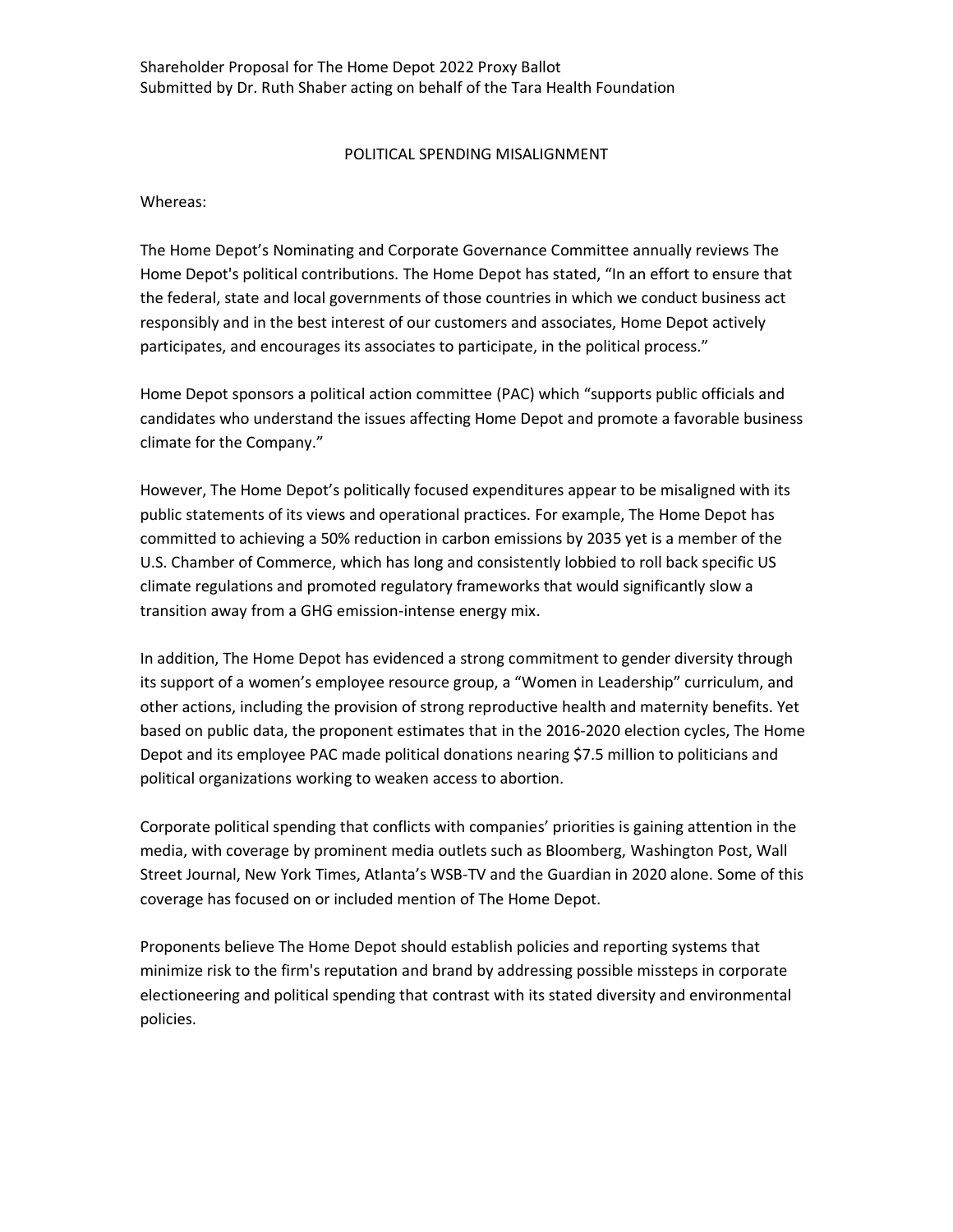## POLITICAL SPENDING MISALIGNMENT

Whereas:

The Home Depot's Nominating and Corporate Governance Committee annually reviews The Home Depot's political contributions. The Home Depot has stated, "In an effort to ensure that the federal, state and local governments of those countries in which we conduct business act responsibly and in the best interest of our customers and associates, Home Depot actively participates, and encourages its associates to participate, in the political process."

Home Depot sponsors a political action committee (PAC) which "supports public officials and candidates who understand the issues affecting Home Depot and promote a favorable business climate for the Company."

However, The Home Depot's politically focused expenditures appear to be misaligned with its public statements of its views and operational practices. For example, The Home Depot has committed to achieving a 50% reduction in carbon emissions by 2035 yet is a member of the U.S. Chamber of Commerce, which has long and consistently lobbied to roll back specific US climate regulations and promoted regulatory frameworks that would significantly slow a transition away from a GHG emission-intense energy mix.

In addition, The Home Depot has evidenced a strong commitment to gender diversity through its support of a women's employee resource group, a "Women in Leadership" curriculum, and other actions, including the provision of strong reproductive health and maternity benefits. Yet based on public data, the proponent estimates that in the 2016-2020 election cycles, The Home Depot and its employee PAC made political donations nearing \$7.5 million to politicians and political organizations working to weaken access to abortion.

Corporate political spending that conflicts with companies' priorities is gaining attention in the media, with coverage by prominent media outlets such as Bloomberg, Washington Post, Wall Street Journal, New York Times, Atlanta's WSB-TV and the Guardian in 2020 alone. Some of this coverage has focused on or included mention of The Home Depot.

Proponents believe The Home Depot should establish policies and reporting systems that minimize risk to the firm's reputation and brand by addressing possible missteps in corporate electioneering and political spending that contrast with its stated diversity and environmental policies.